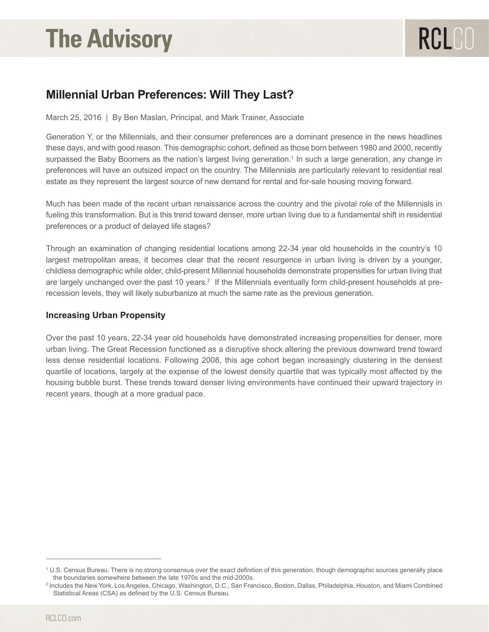# **The Advisory**

# **Millennial Urban Preferences: Will They Last?**

March 25, 2016 | By Ben Maslan, Principal, and Mark Trainer, Associate

Generation Y, or the Millennials, and their consumer preferences are a dominant presence in the news headlines these days, and with good reason. This demographic cohort, defined as those born between 1980 and 2000, recently surpassed the Baby Boomers as the nation's largest living generation.<sup>1</sup> In such a large generation, any change in preferences will have an outsized impact on the country. The Millennials are particularly relevant to residential real estate as they represent the largest source of new demand for rental and for-sale housing moving forward.

Much has been made of the recent urban renaissance across the country and the pivotal role of the Millennials in fueling this transformation. But is this trend toward denser, more urban living due to a fundamental shift in residential preferences or a product of delayed life stages?

Through an examination of changing residential locations among 22-34 year old households in the country's 10 largest metropolitan areas, it becomes clear that the recent resurgence in urban living is driven by a younger, childless demographic while older, child-present Millennial households demonstrate propensities for urban living that are largely unchanged over the past 10 years.<sup>2</sup> If the Millennials eventually form child-present households at prerecession levels, they will likely suburbanize at much the same rate as the previous generation.

### **Increasing Urban Propensity**

Over the past 10 years, 22-34 year old households have demonstrated increasing propensities for denser, more urban living. The Great Recession functioned as a disruptive shock altering the previous downward trend toward less dense residential locations. Following 2008, this age cohort began increasingly clustering in the densest quartile of locations, largely at the expense of the lowest density quartile that was typically most affected by the housing bubble burst. These trends toward denser living environments have continued their upward trajectory in recent years, though at a more gradual pace.

<sup>1</sup> U.S. Census Bureau. There is no strong consensus over the exact definition of this generation, though demographic sources generally place the boundaries somewhere between the late 1970s and the mid-2000s.

<sup>2</sup> Includes the New York, Los Angeles, Chicago, Washington, D.C., San Francisco, Boston, Dallas, Philadelphia, Houston, and Miami Combined Statistical Areas (CSA) as defined by the U.S. Census Bureau.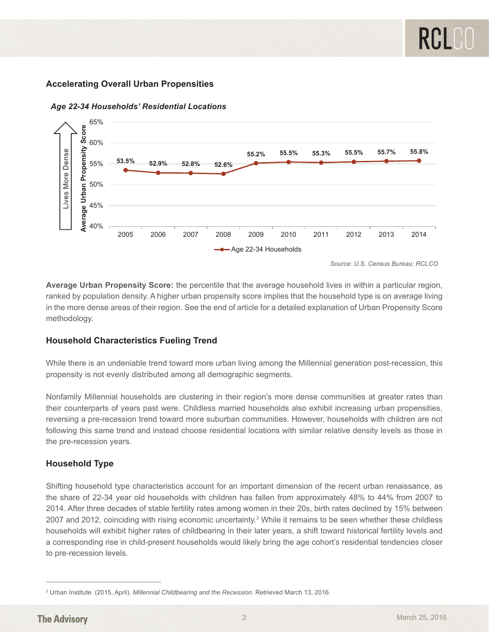# **Accelerating Overall Urban Propensities**



*Age 22-34 Households' Residential Locations Age 22-34 Households' Residential Locations*

**Average Urban Propensity Score:** the percentile that the average household lives in within a particular region, ranked by population density. A higher urban propensity score implies that the household type is on average living in the more dense areas of their region. See the end of article for a detailed explanation of Urban Propensity Score methodology.

#### **Household Characteristics Fueling Trend**

While there is an undeniable trend toward more urban living among the Millennial generation post-recession, this propensity is not evenly distributed among all demographic segments.

Nonfamily Millennial households are clustering in their region's more dense communities at greater rates than their counterparts of years past were. Childless married households also exhibit increasing urban propensities, reversing a pre-recession trend toward more suburban communities. However, households with children are not following this same trend and instead choose residential locations with similar relative density levels as those in the pre-recession years.

# **Household Type**

Shifting household type characteristics account for an important dimension of the recent urban renaissance, as the share of 22-34 year old households with children has fallen from approximately 48% to 44% from 2007 to 2014. After three decades of stable fertility rates among women in their 20s, birth rates declined by 15% between 2007 and 2012, coinciding with rising economic uncertainty.<sup>3</sup> While it remains to be seen whether these childless households will exhibit higher rates of childbearing in their later years, a shift toward historical fertility levels and a corresponding rise in child-present households would likely bring the age cohort's residential tendencies closer to pre-recession levels.

<sup>3</sup> Urban Institute. (2015, April). *Millennial Childbearing and the Recession.* Retrieved March 13, 2016.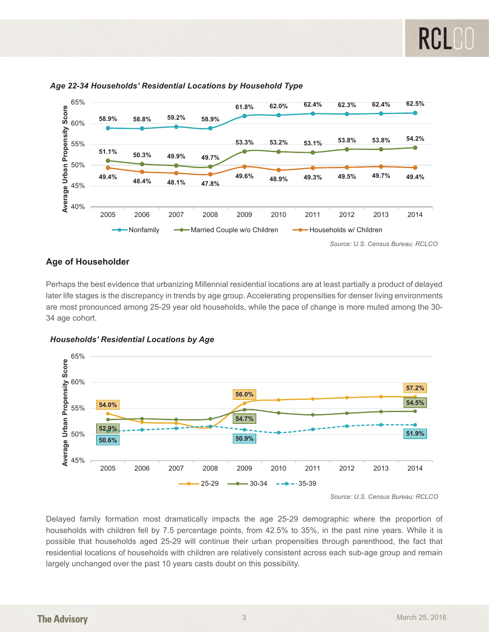

# *Age 22-34 Households' Residential Locations by Household Type Age 22-34 Households' Residential Locations by Household Type*

#### **Age of Householder**

Perhaps the best evidence that urbanizing Millennial residential locations are at least partially a product of delayed later life stages is the discrepancy in trends by age group. Accelerating propensities for denser living environments are most pronounced among 25-29 year old households, while the pace of change is more muted among the 30- 34 age cohort.





*Source: U.S. Census Bureau; RCLCO Source: U.S. Census Bureau; RCLCO*

Delayed family formation most dramatically impacts the age 25-29 demographic where the proportion of households with children fell by 7.5 percentage points, from 42.5% to 35%, in the past nine years. While it is possible that households aged 25-29 will continue their urban propensities through parenthood, the fact that residential locations of households with children are relatively consistent across each sub-age group and remain largely unchanged over the past 10 years casts doubt on this possibility.